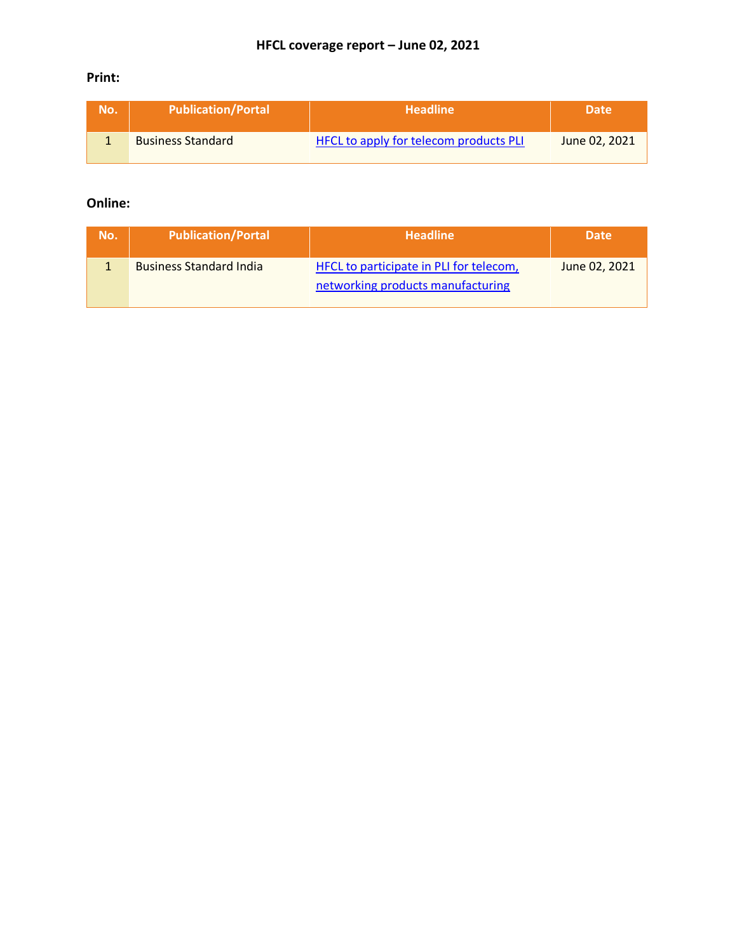### **Print:**

| No. | <b>Publication/Portal</b> | <b>Headline</b>                        | <b>Date</b>   |
|-----|---------------------------|----------------------------------------|---------------|
|     | <b>Business Standard</b>  | HFCL to apply for telecom products PLI | June 02, 2021 |

### **Online:**

| No. | <b>Publication/Portal</b>      | <b>Headline</b>                                                              | <b>Date</b>   |
|-----|--------------------------------|------------------------------------------------------------------------------|---------------|
|     | <b>Business Standard India</b> | HFCL to participate in PLI for telecom,<br>networking products manufacturing | June 02, 2021 |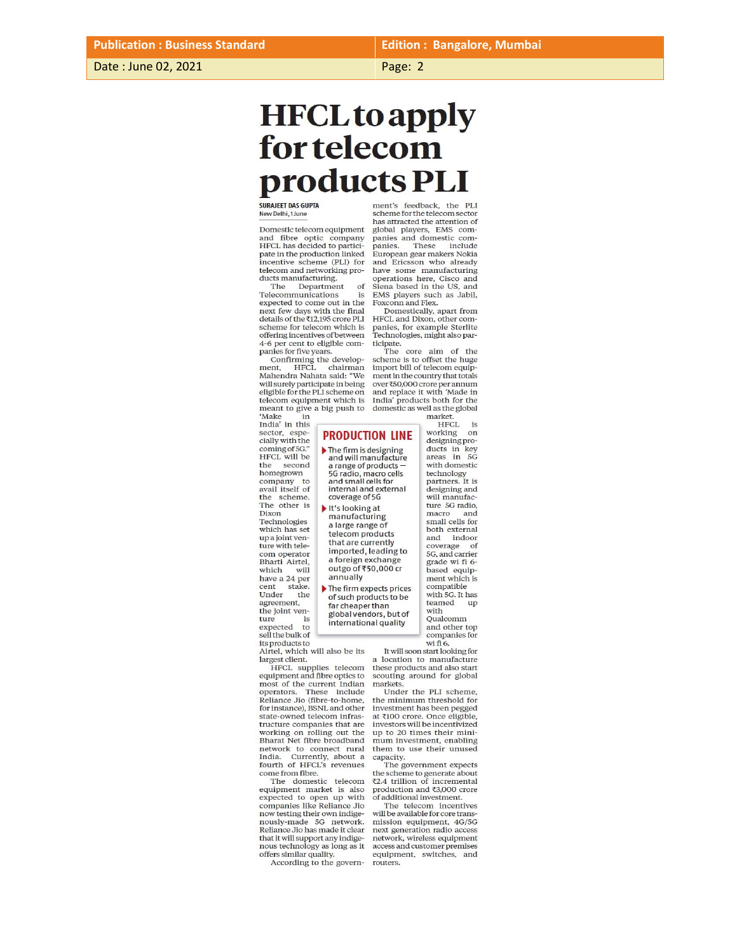**Edition: Bangalore, Mumbai** 

Page: 2

# <span id="page-1-0"></span>**HFCL** to apply for telecom products PLI

**SURAJEET DAS GUPTA**<br>New Delhi, 1 June

Domestic telecom equipment and fibre optic company HFCL has decided to participate in the production linked incentive scheme (PLI) for<br>telecom and networking products manufacturing.

Department The of Telecommunications is expected to come out in the next few days with the final details of the ₹12,195 crore PLI<br>scheme for telecom which is offering incentives of between 4-6 per cent to eligible companies for five years.

Confirming the develop-<br>ment, HFCL chairman<br>Mahendra Nahata said: "We will surely participate in being eligible for the PLI scheme on telecom equipment which is meant to give a big push to domestic as well as the global<br>
"Make in market.<br>
India" in this Figure 1.

sector, espe-<br>cially with the coming of 5G."<br>HFCL will be the second<br>homegrown company to<br>avail itself of the scheme.<br>The other is Dixon Technologies which has set up a joint ven-<br>ture with telecom operator<br>Bharti Airtel, which will have a 24 per stake.  $\mbox{cent}$ Under the agreement, the joint ven-

ture

expected to<br>sell the bulk of

The firm is designing<br>and will manufacture a range of products -5G radio, macro cells and small cells for<br>internal and external coverage of 5G It's looking at manufacturing a large range of telecom products that are currently imported, leading to a foreign exchange<br>outgo of ₹50,000 cr annually The firm expects prices of such products to be far cheaper than

global vendors, but of international quality

**PRODUCTION LINE** 

its products to<br>Airtel, which will also be its largest client.

HFCL supplies telecom<br>equipment and fibre optics to most of the current Indian<br>operators. These include<br>Reliance Jio (fibre-to-home,<br>for instance), BSNL and other state-owned telecom infras-<br>tructure companies that are working on rolling out the<br>Bharat Net fibre broadband nata recent botal<br>and network to connect rural<br>India. Currently, about a<br>fourth of HFCL's revenues

come from fibre.<br>The domestic telecom equipment market is also<br>expected to open up with companies like Reliance Jio now testing their own indigenously-made 5G network. Reliance Jio has made it clear that it will support any indigenous technology as long as it offers similar quality.

According to the govern-

ment's feedback, the PLI scheme for the telecom sector has attracted the attention of global players, EMS com-<br>panies and domestic companies. These include European gear makers Nokia and Ericsson who already<br>have some manufacturing operations here, Cisco and<br>Siena based in the US, and EMS players such as Jabil, Foxconn and Flex.

Domestically, apart from HFCL and Dixon, other com-<br>panies, for example Sterlite Technologies, might also participate.

The core aim of the scheme is to offset the huge import bill of telecom equipment in the country that totals over  $\text{\textsterling}50,000$  crore per annum and replace it with 'Made in India' products both for the

> working on designing products in key<br>areas in 5G with domestic technology<br>partners. It is<br>designing and will manufacture 5G radio, macro and<br>small cells for both external and indoor coverage of<br>5G, and carrier<br>grade wi fi 6based equip-<br>ment which is compatible with 5G. It has teamed up with Qualcomm and other top<br>companies for

wi fi 6. It will soon start looking for location to manufacture these products and also start scouting around for global markets.

Under the PLI scheme, the minimum threshold for<br>investment has been pegged at ₹100 crore. Once eligible,<br>investors will be incentivized up to 20 times their minimum investment, enabling them to use their unused capacity.

The government expects the scheme to generate about<br> $Z2.4$  trillion of incremental production and ₹3,000 crore<br>of additional investment.

The telecom incentives<br>will be available for core transmission equipment, 4G/5G next generation radio access network, wireless equipment access and customer premises equipment, switches, and routers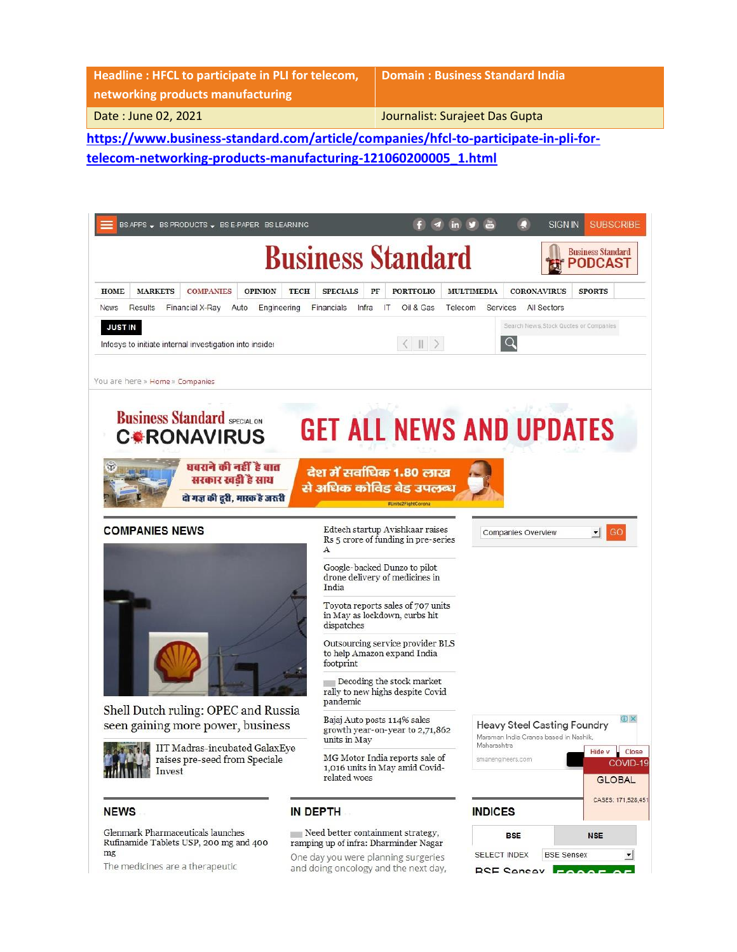| Headline: HFCL to participate in PLI for telecom,<br>networking products manufacturing | Domain: Business Standard India |  |  |  |
|----------------------------------------------------------------------------------------|---------------------------------|--|--|--|
| Date: June 02, 2021                                                                    | Journalist: Surajeet Das Gupta  |  |  |  |
| https://www.business-standard.com/article/companies/hfcl-to-participate-in-pli-for-    |                                 |  |  |  |

**[telecom-networking-products-manufacturing-121060200005\\_1.html](https://www.business-standard.com/article/companies/hfcl-to-participate-in-pli-for-telecom-networking-products-manufacturing-121060200005_1.html)**

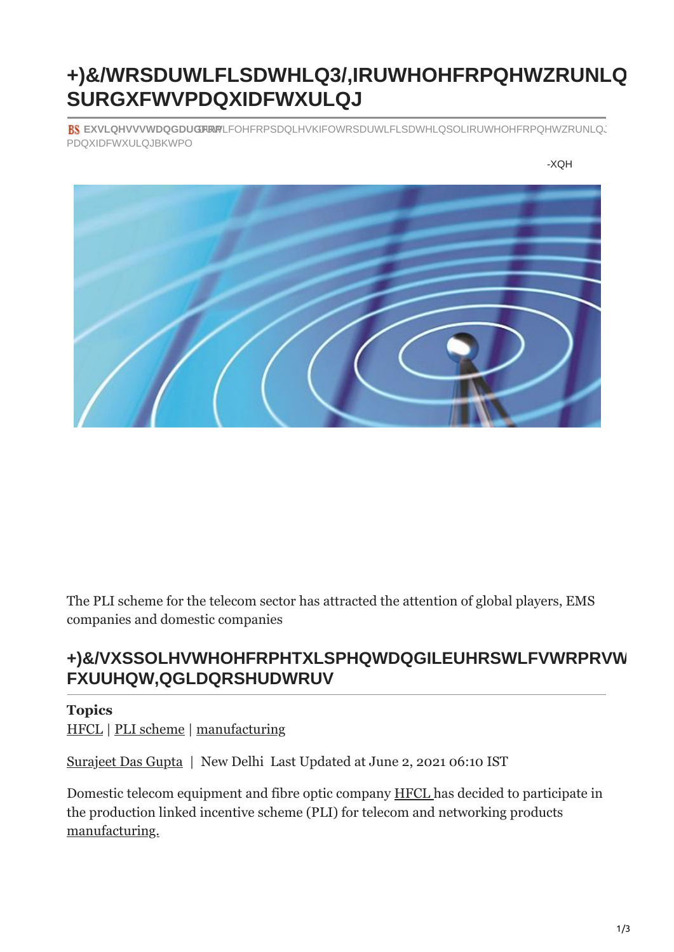### $\prec$ : 7 @ hc dUfh] W]dUhY ] b D @ = Z dfcXiWhq aUbiZUWhif] b[

# Uf h ] W` Y # Wc a d U b ] Y g # \ Z W` ! h c ! d U f h ] W] d U h Y ! ] | **BS** a U b i Z U Wh i f ] b [ ! % & % \$ \* \$ & \$ \$ \$ \$ \$ ) S % " \ h a `

 $> i b Y$  &  $\Sigma$ 

The PLI scheme for the telecom sector has attracted the attention of global players, EMS companies and domestic companies

HFCL supplies telecom equipment and fibre optics to most of the current Indian operators.

#### **Topics**

HFCL | PLI scheme | manufacturing

Surajeet Das Gupta | New Delhi Last Updated at June 2, 2021 06:10 IST

Domestic telecom equipment and fibre optic company HFCL has decided to participate in the production linked incentive scheme (PLI) for telecom and networking products manufacturing.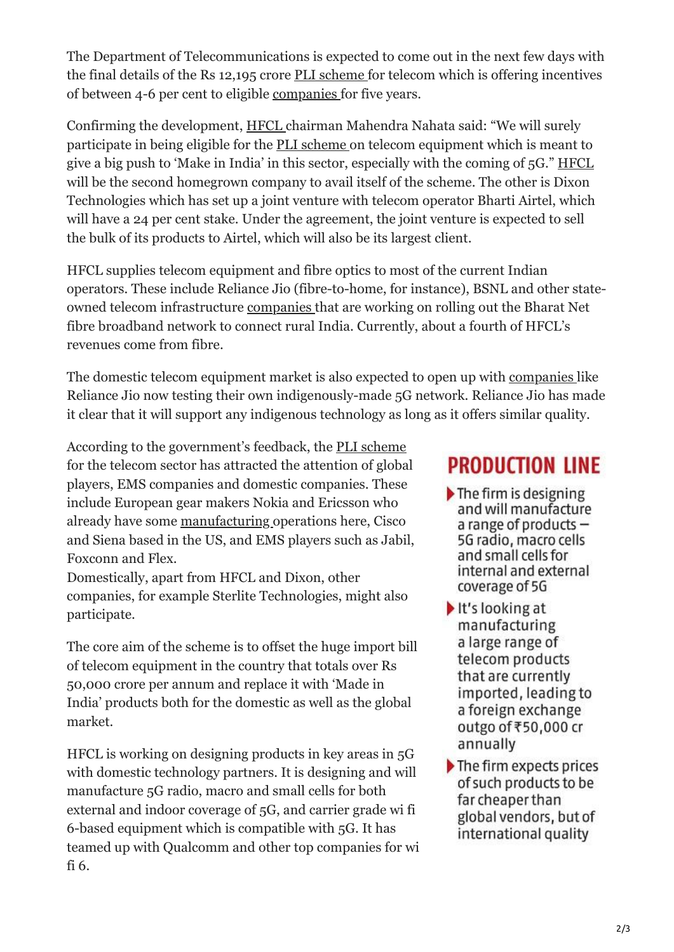The Department of Telecommunications is expected to come out in the next few days with the final details of the Rs 12,195 crore [PLI scheme f](https://www.business-standard.com/topic/pli-scheme)or telecom which is offering incentives of between 4-6 per cent to eligible [companies f](https://www.business-standard.com/companies)or five years.

Confirming the development, [HFCL](https://www.business-standard.com/topic/hfcl) chairman Mahendra Nahata said: "We will surely participate in being eligible for the [PLI scheme o](https://www.business-standard.com/topic/pli-scheme)n telecom equipment which is meant to give a big push to 'Make in India' in this sector, especially with the coming of 5G." [HFCL](https://www.business-standard.com/topic/hfcl) will be the second homegrown company to avail itself of the scheme. The other is Dixon Technologies which has set up a joint venture with telecom operator Bharti Airtel, which will have a 24 per cent stake. Under the agreement, the joint venture is expected to sell the bulk of its products to Airtel, which will also be its largest client.

HFCL supplies telecom equipment and fibre optics to most of the current Indian operators. These include Reliance Jio (fibre-to-home, for instance), BSNL and other stateowned telecom infrastructure [companies](https://www.business-standard.com/companies) that are working on rolling out the Bharat Net fibre broadband network to connect rural India. Currently, about a fourth of HFCL's revenues come from fibre.

The domestic telecom equipment market is also expected to open up with [companies](https://www.business-standard.com/companies) like Reliance Jio now testing their own indigenously-made 5G network. Reliance Jio has made it clear that it will support any indigenous technology as long as it offers similar quality.

According to the government's feedback, the [PLI scheme](https://www.business-standard.com/topic/pli-scheme) for the telecom sector has attracted the attention of global players, EMS companies and domestic companies. These include European gear makers Nokia and Ericsson who already have some [manufacturing](https://www.business-standard.com/topic/manufacturing) operations here, Cisco and Siena based in the US, and EMS players such as Jabil, Foxconn and Flex.

Domestically, apart from HFCL and Dixon, other companies, for example Sterlite Technologies, might also participate.

The core aim of the scheme is to offset the huge import bill of telecom equipment in the country that totals over Rs 50,000 crore per annum and replace it with 'Made in India' products both for the domestic as well as the global market.

HFCL is working on designing products in key areas in 5G with domestic technology partners. It is designing and will manufacture 5G radio, macro and small cells for both external and indoor coverage of 5G, and carrier grade wi fi 6-based equipment which is compatible with 5G. It has teamed up with Qualcomm and other top companies for wi fi 6.

## **PRODUCTION LINE**

- $\blacktriangleright$  The firm is designing and will manufacture a range of products  $-$ 5G radio, macro cells and small cells for internal and external coverage of 5G
- It's looking at manufacturing a large range of telecom products that are currently imported, leading to a foreign exchange outgo of ₹50,000 cr annually
- The firm expects prices of such products to be far cheaper than global vendors, but of international quality